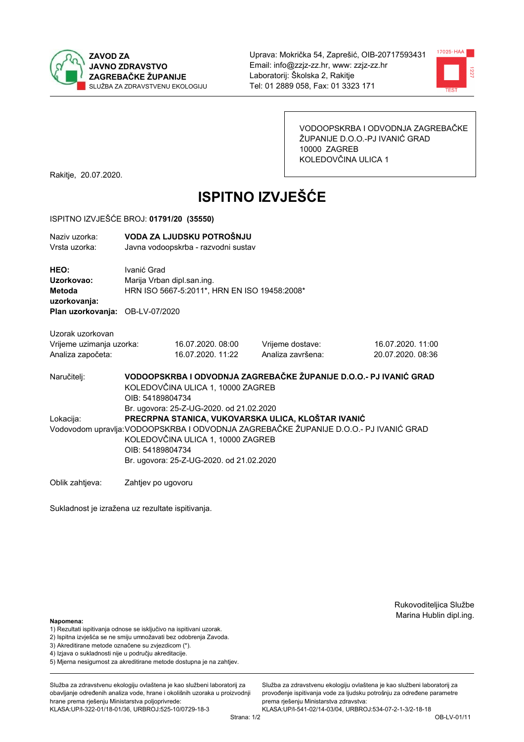



VODOOPSKRBA I ODVODNJA ZAGREBAČKE ŽUPANIJE D.O.O.-PJ IVANIĆ GRAD 10000 ZAGREB KOLEDOVČINA ULICA 1

Rakitje, 20.07.2020.

# **ISPITNO IZVJEŠĆE**

### ISPITNO IZVJEŠĆE BROJ: 01791/20 (35550)

| Naziv uzorka:<br>Vrsta uzorka:                                                  |                                                                                                                                                                                                                                                                                              | VODA ZA LJUDSKU POTROŠNJU<br>Javna vodoopskrba - razvodni sustav                                                           |                                       |                                        |  |  |
|---------------------------------------------------------------------------------|----------------------------------------------------------------------------------------------------------------------------------------------------------------------------------------------------------------------------------------------------------------------------------------------|----------------------------------------------------------------------------------------------------------------------------|---------------------------------------|----------------------------------------|--|--|
| HEO:<br>Uzorkovao:<br>Metoda<br>uzorkovanja:<br>Plan uzorkovanja: OB-LV-07/2020 | Ivanić Grad                                                                                                                                                                                                                                                                                  | Marija Vrban dipl.san.ing.<br>HRN ISO 5667-5:2011*, HRN EN ISO 19458:2008*                                                 |                                       |                                        |  |  |
| Uzorak uzorkovan<br>Vrijeme uzimanja uzorka:<br>Analiza započeta:               |                                                                                                                                                                                                                                                                                              | 16.07.2020.08:00<br>16.07.2020. 11:22                                                                                      | Vrijeme dostave:<br>Analiza završena: | 16.07.2020. 11:00<br>20.07.2020. 08:36 |  |  |
| Naručitelj:                                                                     |                                                                                                                                                                                                                                                                                              | VODOOPSKRBA I ODVODNJA ZAGREBAČKE ŽUPANIJE D.O.O.- PJ IVANIĆ GRAD<br>KOLEDOVČINA ULICA 1, 10000 ZAGREB<br>OIB: 54189804734 |                                       |                                        |  |  |
| Lokacija:                                                                       | Br. ugovora: 25-Z-UG-2020. od 21.02.2020<br>PRECRPNA STANICA, VUKOVARSKA ULICA, KLOŠTAR IVANIĆ<br>Vodovodom upravlja: VODOOPSKRBA I ODVODNJA ZAGREBAČKE ŽUPANIJE D.O.O.- PJ IVANIĆ GRAD<br>KOLEDOVČINA ULICA 1, 10000 ZAGREB<br>OIB: 54189804734<br>Br. ugovora: 25-Z-UG-2020. od 21.02.2020 |                                                                                                                            |                                       |                                        |  |  |
| Oblik zahtjeva:                                                                 | Zahtjev po ugovoru                                                                                                                                                                                                                                                                           |                                                                                                                            |                                       |                                        |  |  |

Sukladnost je izražena uz rezultate ispitivanja.

Rukovoditeljica Službe Marina Hublin dipl.ing.

### Napomena:

- 1) Rezultati ispitivanja odnose se isključivo na ispitivani uzorak.
- 2) Ispitna izvješća se ne smiju umnožavati bez odobrenja Zavoda.
- 3) Akreditirane metode označene su zvjezdicom (\*).
- 4) Iziava o sukladnosti nije u području akreditacije.
- 5) Mjerna nesigurnost za akreditirane metode dostupna je na zahtjev.

Služba za zdravstvenu ekologiju ovlaštena je kao službeni laboratorij za obavljanje određenih analiza vode, hrane i okolišnih uzoraka u proizvodnij hrane prema rješenju Ministarstva poljoprivrede: KLASA:UP/I-322-01/18-01/36, URBROJ:525-10/0729-18-3

Strana: 1/2

Služba za zdravstvenu ekologiju ovlaštena je kao službeni laboratorij za provođenie ispitivania vode za liudsku potrošniu za određene parametre prema rješenju Ministarstva zdravstva: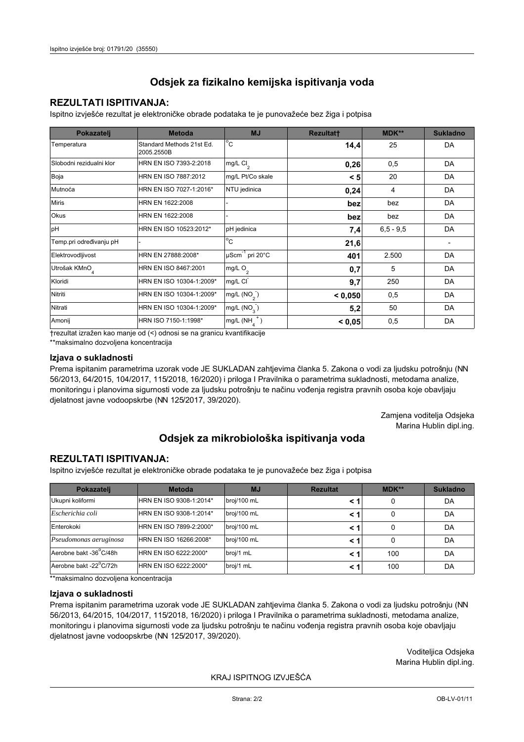## **REZULTATI ISPITIVANJA:**

Ispitno izviešće rezultat je elektroničke obrade podataka te je punovažeće bez žiga i potpisa

| Pokazatelj                | <b>Metoda</b>                           | <b>MJ</b>               | <b>Rezultatt</b> | <b>MDK**</b>  | <b>Sukladno</b> |
|---------------------------|-----------------------------------------|-------------------------|------------------|---------------|-----------------|
| Temperatura               | Standard Methods 21st Ed.<br>2005.2550B | $^{\circ}$ C            | 14,4             | 25            | DA              |
| Slobodni rezidualni klor  | HRN EN ISO 7393-2:2018                  | $mg/L$ Cl <sub>2</sub>  | 0,26             | 0,5           | DA              |
| Boja                      | HRN EN ISO 7887:2012                    | mg/L Pt/Co skale        | < 5              | 20            | DA              |
| Mutnoća                   | HRN EN ISO 7027-1:2016*                 | NTU jedinica            | 0,24             | 4             | DA              |
| <b>Miris</b>              | HRN EN 1622:2008                        |                         | bez              | bez           | DA              |
| Okus                      | HRN EN 1622:2008                        |                         | bez              | bez           | DA              |
| pH                        | HRN EN ISO 10523:2012*                  | pH jedinica             | 7,4              | $6, 5 - 9, 5$ | DA              |
| Temp.pri određivanju pH   |                                         | $^{\circ}$ C            | 21,6             |               |                 |
| Elektrovodljivost         | HRN EN 27888:2008*                      | µScm-1 pri 20°C         | 401              | 2.500         | DA              |
| Utrošak KMnO <sub>4</sub> | HRN EN ISO 8467:2001                    | mg/L $O2$               | 0,7              | 5             | DA              |
| Kloridi                   | HRN EN ISO 10304-1:2009*                | mg/L CI                 | 9,7              | 250           | DA              |
| Nitriti                   | HRN EN ISO 10304-1:2009*                | mg/L $(NO2)$            | < 0.050          | 0,5           | DA              |
| Nitrati                   | HRN EN ISO 10304-1:2009*                | mg/L (NO <sub>3</sub> ) | 5,2              | 50            | DA              |
| Amonij                    | HRN ISO 7150-1:1998*                    | mg/L (NH                | < 0,05           | 0,5           | DA              |

trezultat izražen kao manje od (<) odnosi se na granicu kvantifikacije

\*\*maksimalno dozvoljena koncentracija

## Izjava o sukladnosti

Prema ispitanim parametrima uzorak vode JE SUKLADAN zahtievima članka 5. Zakona o vodi za ljudsku potrošnju (NN 56/2013, 64/2015, 104/2017, 115/2018, 16/2020) i priloga I Pravilnika o parametrima sukladnosti, metodama analize, monitoringu i planovima sigurnosti vode za ljudsku potrošnju te načinu vođenja registra pravnih osoba koje obavljaju djelatnost javne vodoopskrbe (NN 125/2017, 39/2020).

> Zamjena voditelja Odsjeka Marina Hublin dipl.ing.

## Odsjek za mikrobiološka ispitivanja voda

## **REZULTATI ISPITIVANJA:**

Ispitno izvješće rezultat je elektroničke obrade podataka te je punovažeće bez žiga i potpisa

| Pokazatelj             | <b>Metoda</b>           | <b>MJ</b>   | <b>Rezultat</b> | $MDK**$ | <b>Sukladno</b> |
|------------------------|-------------------------|-------------|-----------------|---------|-----------------|
| Ukupni koliformi       | HRN EN ISO 9308-1:2014* | broj/100 mL |                 | 0       | DA              |
| Escherichia coli       | HRN EN ISO 9308-1:2014* | broj/100 mL |                 | 0       | DA              |
| Enterokoki             | HRN EN ISO 7899-2:2000* | broj/100 mL |                 | 0       | DA              |
| Pseudomonas aeruginosa | HRN EN ISO 16266:2008*  | broj/100 mL | < 1             | 0       | DA              |
| Aerobne bakt -36 C/48h | HRN EN ISO 6222:2000*   | broj/1 mL   |                 | 100     | DA              |
| Aerobne bakt -22°C/72h | HRN EN ISO 6222:2000*   | broj/1 mL   |                 | 100     | DA              |

\*\*maksimalno dozvoljena koncentracija

### Izjava o sukladnosti

Prema ispitanim parametrima uzorak vode JE SUKLADAN zahtjevima članka 5. Zakona o vodi za ljudsku potrošnju (NN 56/2013, 64/2015, 104/2017, 115/2018, 16/2020) i priloga I Pravilnika o parametrima sukladnosti, metodama analize, monitoringu i planovima sigurnosti vode za ljudsku potrošnju te načinu vođenja registra pravnih osoba koje obavljaju dielatnost javne vodoopskrbe (NN 125/2017, 39/2020).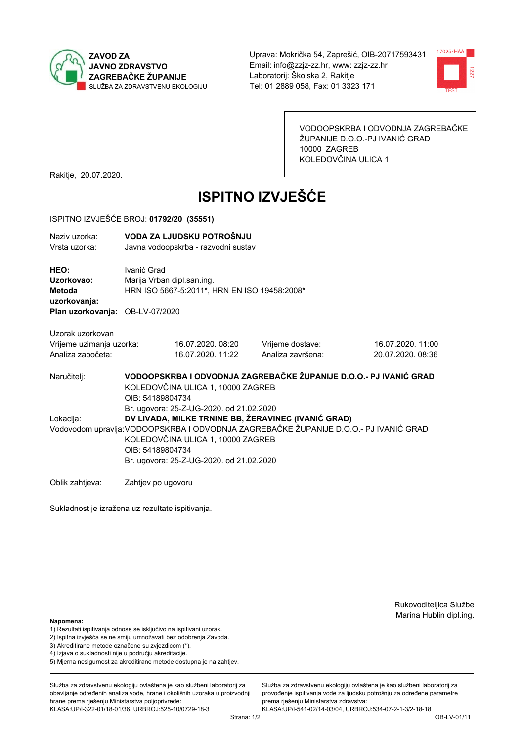



VODOOPSKRBA I ODVODNJA ZAGREBAČKE ŽUPANIJE D.O.O.-PJ IVANIĆ GRAD 10000 ZAGREB KOLEDOVČINA ULICA 1

Rakitje, 20.07.2020.

# **ISPITNO IZVJEŠĆE**

### ISPITNO IZVJEŠĆE BROJ: 01792/20 (35551)

| Naziv uzorka:<br>Vrsta uzorka:                                                  |                                                                                                                                                                                                                                                                                               | VODA ZA LJUDSKU POTROŠNJU<br>Javna vodoopskrba - razvodni sustav                                                           |                                       |                                        |  |  |
|---------------------------------------------------------------------------------|-----------------------------------------------------------------------------------------------------------------------------------------------------------------------------------------------------------------------------------------------------------------------------------------------|----------------------------------------------------------------------------------------------------------------------------|---------------------------------------|----------------------------------------|--|--|
| HEO:<br>Uzorkovao:<br>Metoda<br>uzorkovanja:<br>Plan uzorkovanja: OB-LV-07/2020 | Ivanić Grad                                                                                                                                                                                                                                                                                   | Marija Vrban dipl.san.ing.<br>HRN ISO 5667-5:2011*, HRN EN ISO 19458:2008*                                                 |                                       |                                        |  |  |
| Uzorak uzorkovan<br>Vrijeme uzimanja uzorka:<br>Analiza započeta:               |                                                                                                                                                                                                                                                                                               | 16.07.2020.08:20<br>16.07.2020. 11:22                                                                                      | Vrijeme dostave:<br>Analiza završena: | 16.07.2020. 11:00<br>20.07.2020. 08:36 |  |  |
| Naručitelj:                                                                     |                                                                                                                                                                                                                                                                                               | VODOOPSKRBA I ODVODNJA ZAGREBAČKE ŽUPANIJE D.O.O.- PJ IVANIĆ GRAD<br>KOLEDOVČINA ULICA 1, 10000 ZAGREB<br>OIB: 54189804734 |                                       |                                        |  |  |
| Lokacija:                                                                       | Br. ugovora: 25-Z-UG-2020. od 21.02.2020<br>DV LIVADA, MILKE TRNINE BB, ŽERAVINEC (IVANIĆ GRAD)<br>Vodovodom upravlja: VODOOPSKRBA I ODVODNJA ZAGREBAČKE ŽUPANIJE D.O.O.- PJ IVANIĆ GRAD<br>KOLEDOVČINA ULICA 1, 10000 ZAGREB<br>OIB: 54189804734<br>Br. ugovora: 25-Z-UG-2020. od 21.02.2020 |                                                                                                                            |                                       |                                        |  |  |
| Oblik zahtjeva:                                                                 | Zahtjev po ugovoru                                                                                                                                                                                                                                                                            |                                                                                                                            |                                       |                                        |  |  |

Sukladnost je izražena uz rezultate ispitivanja.

Rukovoditeljica Službe Marina Hublin dipl.ing.

### Napomena:

- 1) Rezultati ispitivanja odnose se isključivo na ispitivani uzorak.
- 2) Ispitna izvješća se ne smiju umnožavati bez odobrenja Zavoda.
- 3) Akreditirane metode označene su zvjezdicom (\*).
- 4) Iziava o sukladnosti nije u području akreditacije.
- 5) Mjerna nesigurnost za akreditirane metode dostupna je na zahtjev.

Služba za zdravstvenu ekologiju ovlaštena je kao službeni laboratorij za obavljanje određenih analiza vode, hrane i okolišnih uzoraka u proizvodnij hrane prema rješenju Ministarstva poljoprivrede: KLASA:UP/I-322-01/18-01/36, URBROJ:525-10/0729-18-3

Služba za zdravstvenu ekologiju ovlaštena je kao službeni laboratorij za provođenie ispitivania vode za liudsku potrošniu za određene parametre prema rješenju Ministarstva zdravstva: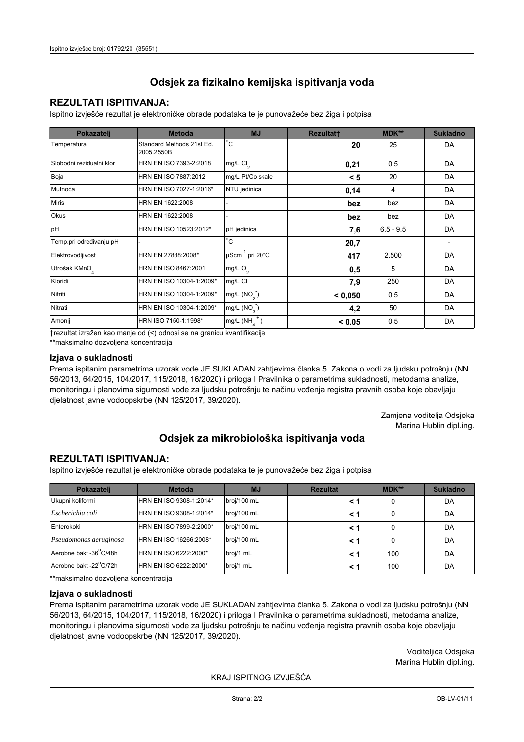## **REZULTATI ISPITIVANJA:**

Ispitno izviešće rezultat je elektroničke obrade podataka te je punovažeće bez žiga i potpisa

| Pokazatelj                | <b>Metoda</b>                           | <b>MJ</b>               | <b>Rezultatt</b> | <b>MDK**</b>  | <b>Sukladno</b> |
|---------------------------|-----------------------------------------|-------------------------|------------------|---------------|-----------------|
| Temperatura               | Standard Methods 21st Ed.<br>2005.2550B | $^{\circ}$ C            | 20               | 25            | DA              |
| Slobodni rezidualni klor  | HRN EN ISO 7393-2:2018                  | $mg/L$ Cl <sub>2</sub>  | 0,21             | 0,5           | DA              |
| Boja                      | HRN EN ISO 7887:2012                    | mg/L Pt/Co skale        | < 5              | 20            | DA              |
| Mutnoća                   | HRN EN ISO 7027-1:2016*                 | NTU jedinica            | 0,14             | 4             | DA              |
| <b>Miris</b>              | HRN EN 1622:2008                        |                         | bez              | bez           | DA              |
| Okus                      | HRN EN 1622:2008                        |                         | bez              | bez           | DA              |
| pH                        | HRN EN ISO 10523:2012*                  | pH jedinica             | 7,6              | $6, 5 - 9, 5$ | DA              |
| Temp.pri određivanju pH   |                                         | $^{\circ}$ C            | 20,7             |               |                 |
| Elektrovodljivost         | HRN EN 27888:2008*                      | µScm-1 pri 20°C         | 417              | 2.500         | DA              |
| Utrošak KMnO <sub>4</sub> | HRN EN ISO 8467:2001                    | mg/L $O2$               | 0,5              | 5             | DA              |
| Kloridi                   | HRN EN ISO 10304-1:2009*                | mg/L CI                 | 7,9              | 250           | DA              |
| Nitriti                   | HRN EN ISO 10304-1:2009*                | mg/L $(NO2)$            | < 0.050          | 0,5           | DA              |
| Nitrati                   | HRN EN ISO 10304-1:2009*                | mg/L (NO <sub>3</sub> ) | 4,2              | 50            | DA              |
| Amonij                    | HRN ISO 7150-1:1998*                    | mg/L (NH                | < 0,05           | 0,5           | DA              |

trezultat izražen kao manje od (<) odnosi se na granicu kvantifikacije

\*\*maksimalno dozvoljena koncentracija

## Izjava o sukladnosti

Prema ispitanim parametrima uzorak vode JE SUKLADAN zahtievima članka 5. Zakona o vodi za ljudsku potrošnju (NN 56/2013, 64/2015, 104/2017, 115/2018, 16/2020) i priloga I Pravilnika o parametrima sukladnosti, metodama analize, monitoringu i planovima sigurnosti vode za ljudsku potrošnju te načinu vođenja registra pravnih osoba koje obavljaju djelatnost javne vodoopskrbe (NN 125/2017, 39/2020).

> Zamjena voditelja Odsjeka Marina Hublin dipl.ing.

## Odsjek za mikrobiološka ispitivanja voda

## **REZULTATI ISPITIVANJA:**

Ispitno izvješće rezultat je elektroničke obrade podataka te je punovažeće bez žiga i potpisa

| Pokazatelj             | <b>Metoda</b>           | <b>MJ</b>   | <b>Rezultat</b> | $MDK**$ | <b>Sukladno</b> |
|------------------------|-------------------------|-------------|-----------------|---------|-----------------|
| Ukupni koliformi       | HRN EN ISO 9308-1:2014* | broj/100 mL |                 | 0       | DA              |
| Escherichia coli       | HRN EN ISO 9308-1:2014* | broj/100 mL |                 | 0       | DA              |
| Enterokoki             | HRN EN ISO 7899-2:2000* | broj/100 mL |                 | 0       | DA              |
| Pseudomonas aeruginosa | HRN EN ISO 16266:2008*  | broj/100 mL | < 1             | 0       | DA              |
| Aerobne bakt -36 C/48h | HRN EN ISO 6222:2000*   | broj/1 mL   |                 | 100     | DA              |
| Aerobne bakt -22°C/72h | HRN EN ISO 6222:2000*   | broj/1 mL   |                 | 100     | DA              |

\*\*maksimalno dozvoljena koncentracija

## Izjava o sukladnosti

Prema ispitanim parametrima uzorak vode JE SUKLADAN zahtjevima članka 5. Zakona o vodi za ljudsku potrošnju (NN 56/2013, 64/2015, 104/2017, 115/2018, 16/2020) i priloga I Pravilnika o parametrima sukladnosti, metodama analize, monitoringu i planovima sigurnosti vode za ljudsku potrošnju te načinu vođenja registra pravnih osoba koje obavljaju dielatnost javne vodoopskrbe (NN 125/2017, 39/2020).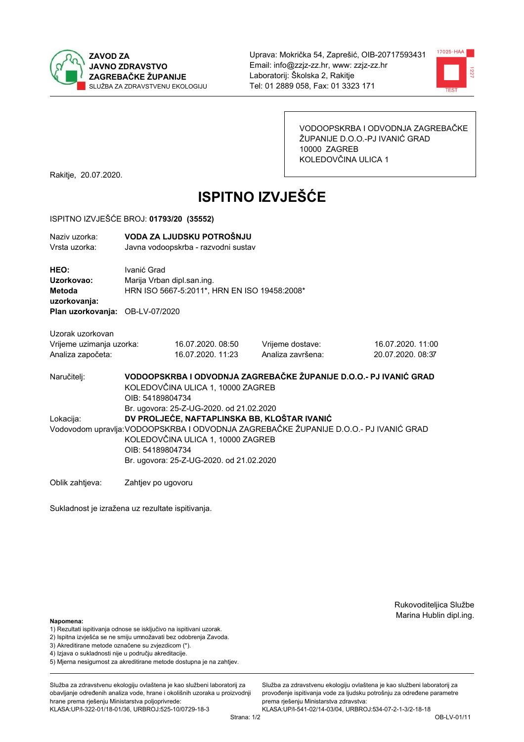



VODOOPSKRBA I ODVODNJA ZAGREBAČKE ŽUPANIJE D.O.O.-PJ IVANIĆ GRAD 10000 ZAGREB KOLEDOVČINA ULICA 1

Rakitje, 20.07.2020.

# **ISPITNO IZVJEŠĆE**

### ISPITNO IZVJEŠĆE BROJ: 01793/20 (35552)

| Naziv uzorka:<br>Vrsta uzorka:                                                  |                                                                                                                                                                                                                                                                                        | VODA ZA LJUDSKU POTROŠNJU<br>Javna vodoopskrba - razvodni sustav           |                                       |                                                                   |  |  |
|---------------------------------------------------------------------------------|----------------------------------------------------------------------------------------------------------------------------------------------------------------------------------------------------------------------------------------------------------------------------------------|----------------------------------------------------------------------------|---------------------------------------|-------------------------------------------------------------------|--|--|
| HEO:<br>Uzorkovao:<br>Metoda<br>uzorkovanja:<br>Plan uzorkovanja: OB-LV-07/2020 | Ivanić Grad                                                                                                                                                                                                                                                                            | Marija Vrban dipl.san.ing.<br>HRN ISO 5667-5:2011*, HRN EN ISO 19458:2008* |                                       |                                                                   |  |  |
| Uzorak uzorkovan<br>Vrijeme uzimanja uzorka:<br>Analiza započeta:               |                                                                                                                                                                                                                                                                                        | 16.07.2020.08:50<br>16.07.2020. 11:23                                      | Vrijeme dostave:<br>Analiza završena: | 16.07.2020. 11:00<br>20.07.2020, 08:37                            |  |  |
| Naručitelj:                                                                     | OIB: 54189804734                                                                                                                                                                                                                                                                       | KOLEDOVČINA ULICA 1, 10000 ZAGREB                                          |                                       | VODOOPSKRBA I ODVODNJA ZAGREBAČKE ŽUPANIJE D.O.O.- PJ IVANIĆ GRAD |  |  |
| Lokacija:                                                                       | Br. ugovora: 25-Z-UG-2020. od 21.02.2020<br>DV PROLJEĆE, NAFTAPLINSKA BB, KLOŠTAR IVANIĆ<br>Vodovodom upravlja: VODOOPSKRBA I ODVODNJA ZAGREBAČKE ŽUPANIJE D.O.O.- PJ IVANIĆ GRAD<br>KOLEDOVČINA ULICA 1, 10000 ZAGREB<br>OIB: 54189804734<br>Br. ugovora: 25-Z-UG-2020. od 21.02.2020 |                                                                            |                                       |                                                                   |  |  |
| Oblik zahtjeva:                                                                 | Zahtjev po ugovoru                                                                                                                                                                                                                                                                     |                                                                            |                                       |                                                                   |  |  |

Sukladnost je izražena uz rezultate ispitivanja.

Rukovoditeljica Službe Marina Hublin dipl.ing.

### Napomena:

- 1) Rezultati ispitivanja odnose se isključivo na ispitivani uzorak.
- 2) Ispitna izvješća se ne smiju umnožavati bez odobrenja Zavoda.
- 3) Akreditirane metode označene su zvjezdicom (\*).
- 4) Iziava o sukladnosti nije u području akreditacije.
- 5) Mjerna nesigurnost za akreditirane metode dostupna je na zahtjev.

Služba za zdravstvenu ekologiju ovlaštena je kao službeni laboratorij za obavlianie određenih analiza vode, hrane i okolišnih uzoraka u proizvodniji hrane prema rješenju Ministarstva poljoprivrede: KLASA:UP/I-322-01/18-01/36, URBROJ:525-10/0729-18-3

Strana: 1/2

Služba za zdravstvenu ekologiju ovlaštena je kao službeni laboratorij za provođenie ispitivania vode za liudsku potrošniu za određene parametre prema rješenju Ministarstva zdravstva: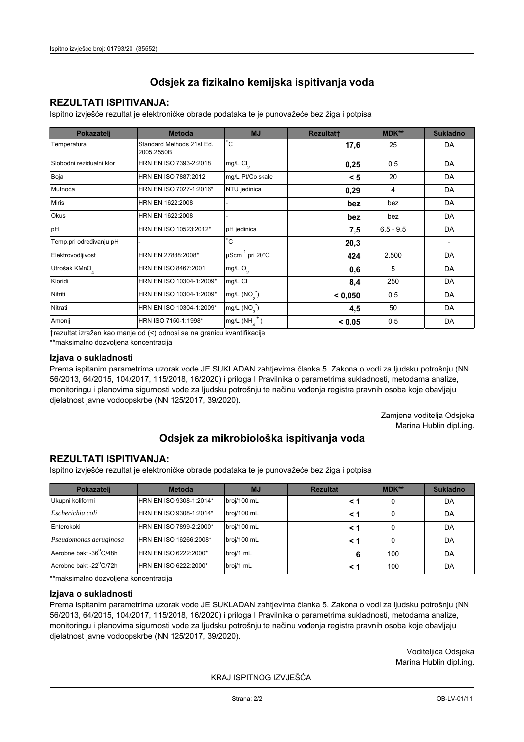## **REZULTATI ISPITIVANJA:**

Ispitno izviešće rezultat je elektroničke obrade podataka te je punovažeće bez žiga i potpisa

| Pokazatelj                | <b>Metoda</b>                           | <b>MJ</b>                   | <b>Rezultatt</b> | <b>MDK**</b>  | <b>Sukladno</b> |
|---------------------------|-----------------------------------------|-----------------------------|------------------|---------------|-----------------|
| Temperatura               | Standard Methods 21st Ed.<br>2005.2550B | $^{\circ}$ C                | 17,6             | 25            | DA              |
| Slobodni rezidualni klor  | HRN EN ISO 7393-2:2018                  | mg/L Cl <sub>2</sub>        | 0,25             | 0,5           | DA              |
| Boja                      | HRN EN ISO 7887:2012                    | mg/L Pt/Co skale            | < 5              | 20            | DA              |
| Mutnoća                   | HRN EN ISO 7027-1:2016*                 | NTU jedinica                | 0,29             | 4             | DA              |
| <b>Miris</b>              | HRN EN 1622:2008                        |                             | bez              | bez           | DA              |
| <b>Okus</b>               | HRN EN 1622:2008                        |                             | bez              | bez           | DA              |
| pH                        | HRN EN ISO 10523:2012*                  | pH jedinica                 | 7,5              | $6, 5 - 9, 5$ | DA              |
| Temp.pri određivanju pH   |                                         | $\overline{C}$              | 20,3             |               |                 |
| Elektrovodljivost         | HRN EN 27888:2008*                      | µScm <sup>-1</sup> pri 20°C | 424              | 2.500         | DA              |
| Utrošak KMnO <sub>4</sub> | HRN EN ISO 8467:2001                    | mg/L O <sub>2</sub>         | 0,6              | 5             | DA              |
| Kloridi                   | HRN EN ISO 10304-1:2009*                | mg/L CI                     | 8,4              | 250           | DA              |
| Nitriti                   | HRN EN ISO 10304-1:2009*                | mg/L $(NO2)$                | < 0,050          | 0,5           | DA              |
| Nitrati                   | HRN EN ISO 10304-1:2009*                | mg/L (NO <sub>3</sub> )     | 4,5              | 50            | DA              |
| Amonij                    | HRN ISO 7150-1:1998*                    | mg/L (NH                    | < 0,05           | 0,5           | DA              |

trezultat izražen kao manje od (<) odnosi se na granicu kvantifikacije

\*\*maksimalno dozvoljena koncentracija

## Izjava o sukladnosti

Prema ispitanim parametrima uzorak vode JE SUKLADAN zahtievima članka 5. Zakona o vodi za ljudsku potrošnju (NN 56/2013, 64/2015, 104/2017, 115/2018, 16/2020) i priloga I Pravilnika o parametrima sukladnosti, metodama analize, monitoringu i planovima sigurnosti vode za ljudsku potrošnju te načinu vođenja registra pravnih osoba koje obavljaju djelatnost javne vodoopskrbe (NN 125/2017, 39/2020).

> Zamjena voditelja Odsjeka Marina Hublin dipl.ing.

## Odsjek za mikrobiološka ispitivanja voda

## **REZULTATI ISPITIVANJA:**

Ispitno izvješće rezultat je elektroničke obrade podataka te je punovažeće bez žiga i potpisa

| Pokazatelj             | <b>Metoda</b>           | <b>MJ</b>   | <b>Rezultat</b> | $MDK**$ | <b>Sukladno</b> |
|------------------------|-------------------------|-------------|-----------------|---------|-----------------|
| Ukupni koliformi       | HRN EN ISO 9308-1:2014* | broj/100 mL |                 | 0       | DA              |
| Escherichia coli       | HRN EN ISO 9308-1:2014* | broj/100 mL |                 | 0       | DA              |
| Enterokoki             | HRN EN ISO 7899-2:2000* | broj/100 mL |                 | 0       | DA              |
| Pseudomonas aeruginosa | HRN EN ISO 16266:2008*  | broj/100 mL | < 1             | 0       | DA              |
| Aerobne bakt -36 C/48h | HRN EN ISO 6222:2000*   | broj/1 mL   | 6               | 100     | DA              |
| Aerobne bakt -22°C/72h | HRN EN ISO 6222:2000*   | broj/1 mL   |                 | 100     | DA              |

\*\*maksimalno dozvoljena koncentracija

## Izjava o sukladnosti

Prema ispitanim parametrima uzorak vode JE SUKLADAN zahtjevima članka 5. Zakona o vodi za ljudsku potrošnju (NN 56/2013, 64/2015, 104/2017, 115/2018, 16/2020) i priloga I Pravilnika o parametrima sukladnosti, metodama analize, monitoringu i planovima sigurnosti vode za ljudsku potrošnju te načinu vođenja registra pravnih osoba koje obavljaju dielatnost javne vodoopskrbe (NN 125/2017, 39/2020).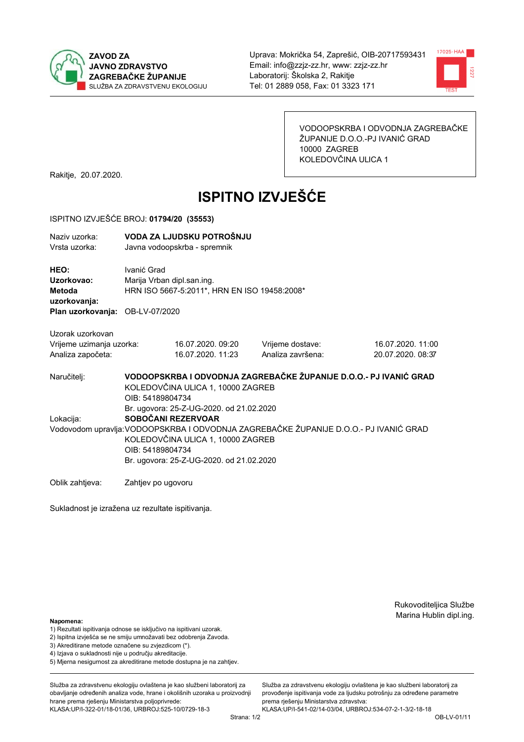



VODOOPSKRBA I ODVODNJA ZAGREBAČKE ŽUPANIJE D.O.O.-PJ IVANIĆ GRAD 10000 ZAGREB KOLEDOVČINA ULICA 1

Rakitje, 20.07.2020.

# **ISPITNO IZVJEŠĆE**

#### ISPITNO IZVJEŠĆE BROJ: 01794/20 (35553)

| Naziv uzorka: | VODA ZA LJUDSKU POTROŠNJU    |
|---------------|------------------------------|
| Vrsta uzorka: | Javna vodoopskrba - spremnik |

HEO: Ivanić Grad Uzorkovao: Marija Vrban dipl.san.ing. Metoda HRN ISO 5667-5:2011\*, HRN EN ISO 19458:2008\* uzorkovanja: Plan uzorkovanja: OB-LV-07/2020

Uzorak uzorkovan Vrijeme uzimanja uzorka: Analiza započeta:

16.07.2020.09:20 16.07.2020, 11:23 Vrijeme dostave: Analiza završena:

16.07.2020.11:00 20.07.2020, 08:37

VODOOPSKRBA I ODVODNJA ZAGREBAČKE ŽUPANIJE D.O.O.- PJ IVANIĆ GRAD Naručitelj: KOLEDOVČINA ULICA 1, 10000 ZAGREB OIB: 54189804734 Br. ugovora: 25-Z-UG-2020, od 21.02.2020 SOBOČANI REZERVOAR Lokacija: Vodovodom upravlja: VODOOPSKRBA I ODVODNJA ZAGREBAČKE ŽUPANIJE D.O.O.- PJ IVANIĆ GRAD KOLEDOVČINA ULICA 1, 10000 ZAGREB OIB: 54189804734

Br. ugovora: 25-Z-UG-2020. od 21.02.2020

Oblik zahtjeva: Zahtjev po ugovoru

Sukladnost je izražena uz rezultate ispitivanja.

Rukovoditeljica Službe Marina Hublin dipl.ing.

Napomena:

- 1) Rezultati ispitivanja odnose se isključivo na ispitivani uzorak.
- 2) Ispitna izvješća se ne smiju umnožavati bez odobrenja Zavoda.

3) Akreditirane metode označene su zvjezdicom (\*).

- 4) Iziava o sukladnosti nije u područiu akreditacije.
- 5) Mjerna nesigurnost za akreditirane metode dostupna je na zahtjev.

Služba za zdravstvenu ekologiju ovlaštena je kao službeni laboratorij za obavlianie određenih analiza vode, hrane i okolišnih uzoraka u proizvodniji hrane prema rješenju Ministarstva poljoprivrede:

KLASA:UP/I-322-01/18-01/36, URBROJ:525-10/0729-18-3

Služba za zdravstvenu ekologiju ovlaštena je kao službeni laboratorij za provođenie ispitivania vode za liudsku potrošniu za određene parametre prema riešenju Ministarstva zdravstva: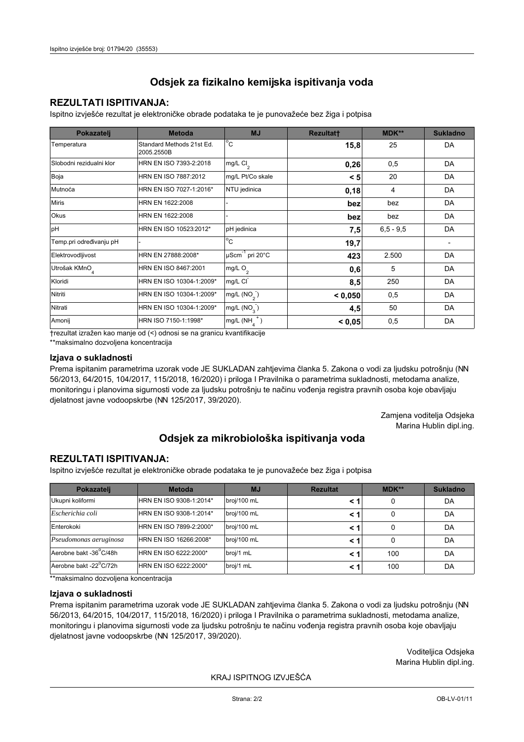## **REZULTATI ISPITIVANJA:**

Ispitno izviešće rezultat je elektroničke obrade podataka te je punovažeće bez žiga i potpisa

| Pokazatelj                | <b>Metoda</b>                           | <b>MJ</b>               | <b>Rezultatt</b> | <b>MDK**</b>  | <b>Sukladno</b> |
|---------------------------|-----------------------------------------|-------------------------|------------------|---------------|-----------------|
| Temperatura               | Standard Methods 21st Ed.<br>2005.2550B | $^{\circ}$ C            | 15,8             | 25            | DA              |
| Slobodni rezidualni klor  | HRN EN ISO 7393-2:2018                  | mg/L $Cl2$              | 0,26             | 0,5           | DA              |
| Boja                      | HRN EN ISO 7887:2012                    | mg/L Pt/Co skale        | < 5              | 20            | DA              |
| Mutnoća                   | HRN EN ISO 7027-1:2016*                 | NTU jedinica            | 0,18             | 4             | DA              |
| <b>Miris</b>              | HRN EN 1622:2008                        |                         | bez              | bez           | DA              |
| <b>Okus</b>               | HRN EN 1622:2008                        |                         | bez              | bez           | DA              |
| pH                        | HRN EN ISO 10523:2012*                  | pH jedinica             | 7,5              | $6, 5 - 9, 5$ | DA              |
| Temp.pri određivanju pH   |                                         | $^{\circ}$ C            | 19,7             |               |                 |
| Elektrovodljivost         | HRN EN 27888:2008*                      | µScm-1 pri 20°C         | 423              | 2.500         | DA              |
| Utrošak KMnO <sub>4</sub> | HRN EN ISO 8467:2001                    | mg/L $O_2$              | 0,6              | 5             | DA              |
| Kloridi                   | HRN EN ISO 10304-1:2009*                | mg/L CI                 | 8,5              | 250           | DA              |
| Nitriti                   | HRN EN ISO 10304-1:2009*                | mg/L $(NO2)$            | < 0,050          | 0,5           | DA              |
| Nitrati                   | HRN EN ISO 10304-1:2009*                | mg/L (NO <sub>3</sub> ) | 4,5              | 50            | DA              |
| Amonij                    | HRN ISO 7150-1:1998*                    | mg/L (NH                | < 0,05           | 0,5           | DA              |

trezultat izražen kao manje od (<) odnosi se na granicu kvantifikacije

\*\*maksimalno dozvoljena koncentracija

## Izjava o sukladnosti

Prema ispitanim parametrima uzorak vode JE SUKLADAN zahtievima članka 5. Zakona o vodi za ljudsku potrošnju (NN 56/2013, 64/2015, 104/2017, 115/2018, 16/2020) i priloga I Pravilnika o parametrima sukladnosti, metodama analize, monitoringu i planovima sigurnosti vode za ljudsku potrošnju te načinu vođenja registra pravnih osoba koje obavljaju djelatnost javne vodoopskrbe (NN 125/2017, 39/2020).

> Zamjena voditelja Odsjeka Marina Hublin dipl.ing.

## Odsjek za mikrobiološka ispitivanja voda

## **REZULTATI ISPITIVANJA:**

Ispitno izvješće rezultat je elektroničke obrade podataka te je punovažeće bez žiga i potpisa

| Pokazatelj             | <b>Metoda</b>           | <b>MJ</b>   | <b>Rezultat</b> | $MDK**$ | <b>Sukladno</b> |
|------------------------|-------------------------|-------------|-----------------|---------|-----------------|
| Ukupni koliformi       | HRN EN ISO 9308-1:2014* | broj/100 mL |                 | 0       | DA              |
| Escherichia coli       | HRN EN ISO 9308-1:2014* | broj/100 mL |                 | 0       | DA              |
| Enterokoki             | HRN EN ISO 7899-2:2000* | broj/100 mL |                 | 0       | DA              |
| Pseudomonas aeruginosa | HRN EN ISO 16266:2008*  | broj/100 mL | < 1             | 0       | DA              |
| Aerobne bakt -36 C/48h | HRN EN ISO 6222:2000*   | broj/1 mL   |                 | 100     | DA              |
| Aerobne bakt -22°C/72h | HRN EN ISO 6222:2000*   | broj/1 mL   |                 | 100     | DA              |

\*\*maksimalno dozvoljena koncentracija

## Izjava o sukladnosti

Prema ispitanim parametrima uzorak vode JE SUKLADAN zahtjevima članka 5. Zakona o vodi za ljudsku potrošnju (NN 56/2013, 64/2015, 104/2017, 115/2018, 16/2020) i priloga I Pravilnika o parametrima sukladnosti, metodama analize, monitoringu i planovima sigurnosti vode za ljudsku potrošnju te načinu vođenja registra pravnih osoba koje obavljaju dielatnost javne vodoopskrbe (NN 125/2017, 39/2020).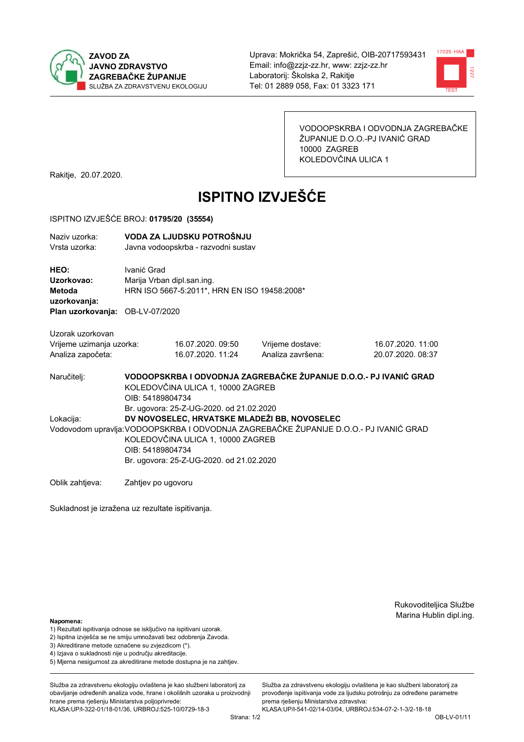



VODOOPSKRBA I ODVODNJA ZAGREBAČKE ŽUPANIJE D.O.O.-PJ IVANIĆ GRAD 10000 ZAGREB KOLEDOVČINA ULICA 1

Rakitje, 20.07.2020.

# **ISPITNO IZVJEŠĆE**

### ISPITNO IZVJEŠĆE BROJ: 01795/20 (35554)

| Naziv uzorka:<br>Vrsta uzorka:                                                  | VODA ZA LJUDSKU POTROŠNJU<br>Javna vodoopskrba - razvodni sustav                                                                                                                                                                           |                                       |                                       |                                        |  |  |  |
|---------------------------------------------------------------------------------|--------------------------------------------------------------------------------------------------------------------------------------------------------------------------------------------------------------------------------------------|---------------------------------------|---------------------------------------|----------------------------------------|--|--|--|
| HEO:<br>Uzorkovao:<br>Metoda<br>uzorkovanja:<br>Plan uzorkovanja: OB-LV-07/2020 | Ivanić Grad<br>Marija Vrban dipl.san.ing.<br>HRN ISO 5667-5:2011*, HRN EN ISO 19458:2008*                                                                                                                                                  |                                       |                                       |                                        |  |  |  |
| Uzorak uzorkovan<br>Vrijeme uzimanja uzorka:<br>Analiza započeta:               |                                                                                                                                                                                                                                            | 16.07.2020.09:50<br>16.07.2020. 11:24 | Vrijeme dostave:<br>Analiza završena: | 16.07.2020. 11:00<br>20.07.2020, 08:37 |  |  |  |
| Naručitelj:                                                                     | VODOOPSKRBA I ODVODNJA ZAGREBAČKE ŽUPANIJE D.O.O.- PJ IVANIĆ GRAD<br>KOLEDOVČINA ULICA 1, 10000 ZAGREB<br>OIB: 54189804734<br>Br. ugovora: 25-Z-UG-2020. od 21.02.2020                                                                     |                                       |                                       |                                        |  |  |  |
| Lokacija:                                                                       | DV NOVOSELEC, HRVATSKE MLADEŽI BB, NOVOSELEC<br>Vodovodom upravlja: VODOOPSKRBA I ODVODNJA ZAGREBAČKE ŽUPANIJE D.O.O.- PJ IVANIĆ GRAD<br>KOLEDOVČINA ULICA 1, 10000 ZAGREB<br>OIB: 54189804734<br>Br. ugovora: 25-Z-UG-2020. od 21.02.2020 |                                       |                                       |                                        |  |  |  |
| Oblik zahtjeva:                                                                 | Zahtjev po ugovoru                                                                                                                                                                                                                         |                                       |                                       |                                        |  |  |  |

Sukladnost je izražena uz rezultate ispitivanja.

Rukovoditeljica Službe Marina Hublin dipl.ing.

#### Napomena:

- 1) Rezultati ispitivanja odnose se isključivo na ispitivani uzorak.
- 2) Ispitna izvješća se ne smiju umnožavati bez odobrenja Zavoda.
- 3) Akreditirane metode označene su zvjezdicom (\*).
- 4) Iziava o sukladnosti nije u području akreditacije.
- 5) Mjerna nesigurnost za akreditirane metode dostupna je na zahtjev.

Služba za zdravstvenu ekologiju ovlaštena je kao službeni laboratorij za obavljanje određenih analiza vode, hrane i okolišnih uzoraka u proizvodnij hrane prema rješenju Ministarstva poljoprivrede: KLASA:UP/I-322-01/18-01/36, URBROJ:525-10/0729-18-3

Služba za zdravstvenu ekologiju ovlaštena je kao službeni laboratorij za provođenje ispitivanja vode za ljudsku potrošnju za određene parametre prema rješenju Ministarstva zdravstva: